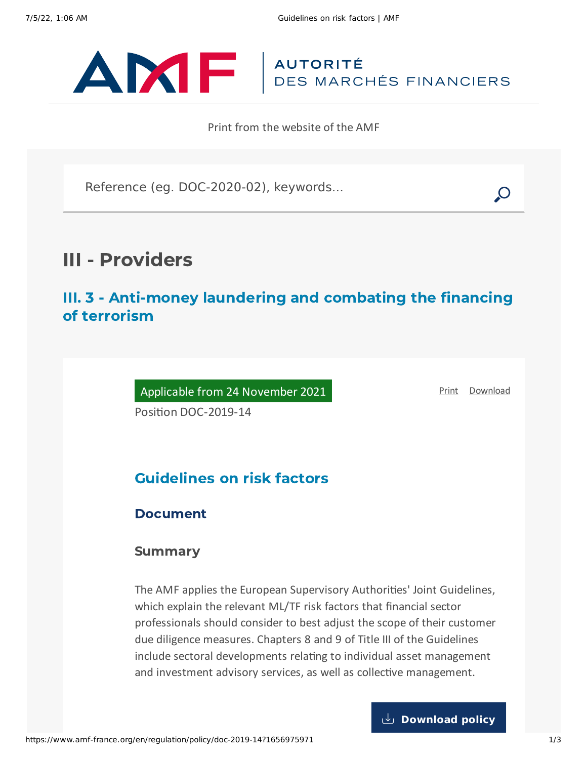

Print from the website of the AMF

Reference (eg. DOC-2020-02), keywords...

# III - Providers

III. 3 - Anti-money laundering and combating the financing of terrorism

Applicable from 24 November 2021

[Print](javascript:window.print()) [Download](https://www.amf-france.org/sites/default/files/pdf/62742/en/Guidelines_on_risk_factors.pdf?1656975974)

Position DOC-2019-14

# Guidelines on risk factors

### Document

### Summary

The AMF applies the European Supervisory Authorities' Joint Guidelines, which explain the relevant ML/TF risk factors that financial sector professionals should consider to best adjust the scope of their customer due diligence measures. Chapters 8 and 9 of Title III of the Guidelines include sectoral developments relating to individual asset management and investment advisory services, as well as collective management.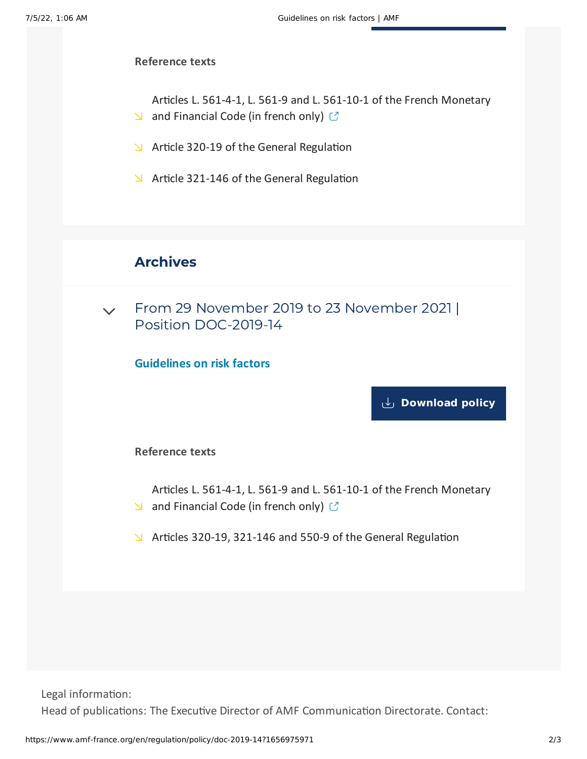#### **Reference texts**

Articles L. 561-4-1, L. 561-9 and L. 561-10-1 of the French [Monetary](https://www.legifrance.gouv.fr/codes/id/LEGITEXT000006072026/)  $\Box$  and Financial Code (in french only)  $\Box$ 

- $\blacktriangleright$  Article 320-19 of the General [Regulation](https://www.amf-france.org/en/eli/fr/aai/amf/rg/article/320-19/20210423/notes)
- $\blacktriangleright$  Article 321-146 of the General [Regulation](https://www.amf-france.org/en/eli/fr/aai/amf/rg/article/321-146/20210423/notes)

## Archives

 $\sqrt{ }$  From 29 November 2019 to 23 November 2021 | Position [DOC-2019-14](#page-1-0)

<span id="page-1-0"></span>**Guidelines on risk factors**

**[Download](https://www.amf-france.org/sites/default/files/doctrine/en/Position/DOC-2019-14/1.0/Guidelines%20on%20risk%20factors.pdf) policy**

#### **Reference texts**

- Articles L. 561-4-1, L. 561-9 and L. 561-10-1 of the French [Monetary](https://www.legifrance.gouv.fr/affichCode.do?cidTexte=LEGITEXT000006072026&dateTexte=20191227) and Financial Code (in french only)  $\mathbb{C}$
- Articles 320-19, 321-146 and 550-9 of the General [Regulation](https://www.amf-france.org/en/eli/fr/aai/amf/rg/20191122/notes)

Legal information: Head of publications: The Executive Director of AMF Communication Directorate. Contact: